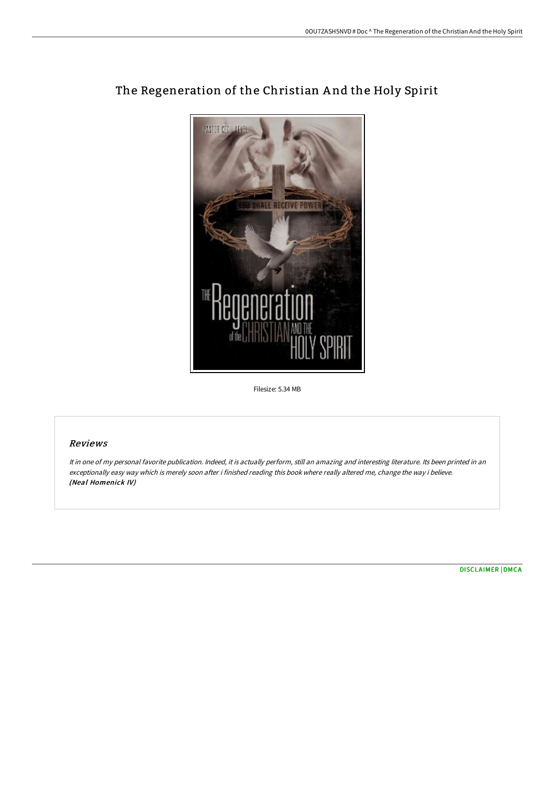

# The Regeneration of the Christian A nd the Holy Spirit

Filesize: 5.34 MB

## Reviews

It in one of my personal favorite publication. Indeed, it is actually perform, still an amazing and interesting literature. Its been printed in an exceptionally easy way which is merely soon after i finished reading this book where really altered me, change the way i believe. (Neal Homenick IV)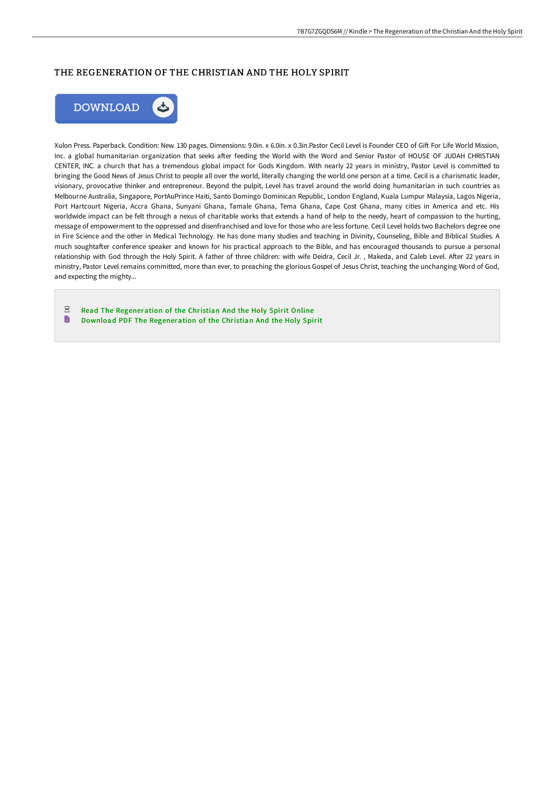## THE REGENERATION OF THE CHRISTIAN AND THE HOLY SPIRIT



Xulon Press. Paperback. Condition: New. 130 pages. Dimensions: 9.0in. x 6.0in. x 0.3in.Pastor Cecil Level is Founder CEO of Gift For Life World Mission, Inc. a global humanitarian organization that seeks after feeding the World with the Word and Senior Pastor of HOUSE OF JUDAH CHRISTIAN CENTER, INC. a church that has a tremendous global impact for Gods Kingdom. With nearly 22 years in ministry, Pastor Level is committed to bringing the Good News of Jesus Christ to people all over the world, literally changing the world one person at a time. Cecil is a charismatic leader, visionary, provocative thinker and entrepreneur. Beyond the pulpit, Level has travel around the world doing humanitarian in such countries as Melbourne Australia, Singapore, PortAuPrince Haiti, Santo Domingo Dominican Republic, London England, Kuala Lumpur Malaysia, Lagos Nigeria, Port Hartcourt Nigeria, Accra Ghana, Sunyani Ghana, Tamale Ghana, Tema Ghana, Cape Cost Ghana, many cities in America and etc. His worldwide impact can be felt through a nexus of charitable works that extends a hand of help to the needy, heart of compassion to the hurting, message of empowerment to the oppressed and disenfranchised and love for those who are less fortune. Cecil Level holds two Bachelors degree one in Fire Science and the other in Medical Technology. He has done many studies and teaching in Divinity, Counseling, Bible and Biblical Studies. A much soughtafter conference speaker and known for his practical approach to the Bible, and has encouraged thousands to pursue a personal relationship with God through the Holy Spirit. A father of three children: with wife Deidra, Cecil Jr., Makeda, and Caleb Level. After 22 years in ministry, Pastor Level remains committed, more than ever, to preaching the glorious Gospel of Jesus Christ, teaching the unchanging Word of God, and expecting the mighty...

 $PDF$ Read The [Regeneration](http://www.bookdirs.com/the-regeneration-of-the-christian-and-the-holy-s.html) of the Christian And the Holy Spirit Online  $\qquad \qquad \blacksquare$ Download PDF The [Regeneration](http://www.bookdirs.com/the-regeneration-of-the-christian-and-the-holy-s.html) of the Christian And the Holy Spirit